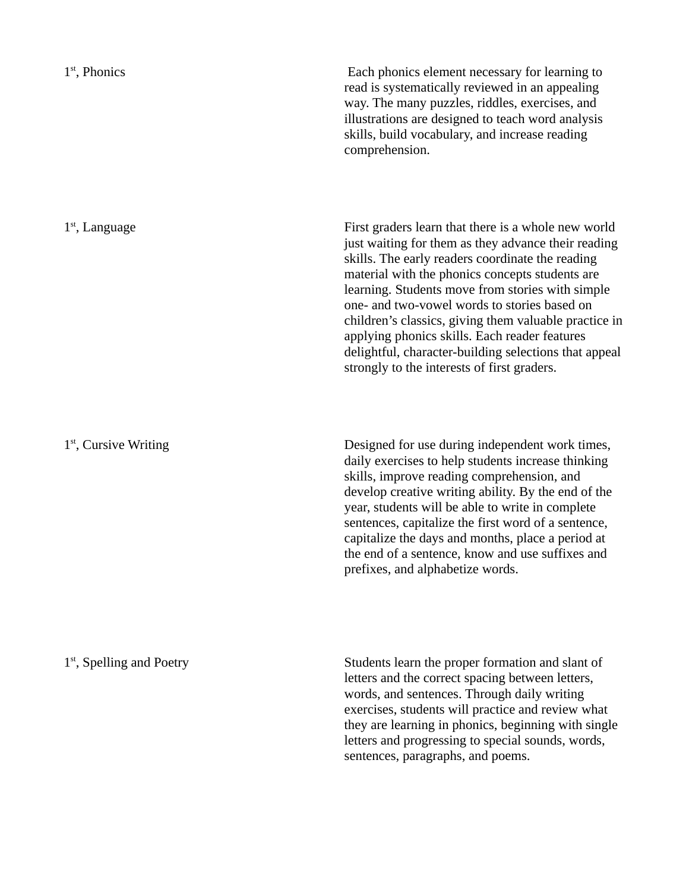Each phonics element necessary for learning to read is systematically reviewed in an appealing way. The many puzzles, riddles, exercises, and illustrations are designed to teach word analysis skills, build vocabulary, and increase reading comprehension.

First graders learn that there is a whole new world just waiting for them as they advance their reading skills. The early readers coordinate the reading material with the phonics concepts students are learning. Students move from stories with simple one- and two-vowel words to stories based on children's classics, giving them valuable practice in applying phonics skills. Each reader features delightful, character-building selections that appeal strongly to the interests of first graders.

Designed for use during independent work times, daily exercises to help students increase thinking skills, improve reading comprehension, and develop creative writing ability. By the end of the year, students will be able to write in complete sentences, capitalize the first word of a sentence, capitalize the days and months, place a period at the end of a sentence, know and use suffixes and prefixes, and alphabetize words.

1<sup>st</sup>, Spelling and Poetry

Students learn the proper formation and slant of letters and the correct spacing between letters, words, and sentences. Through daily writing exercises, students will practice and review what they are learning in phonics, beginning with single letters and progressing to special sounds, words, sentences, paragraphs, and poems.

1 st, Language

1<sup>st</sup>, Cursive Writing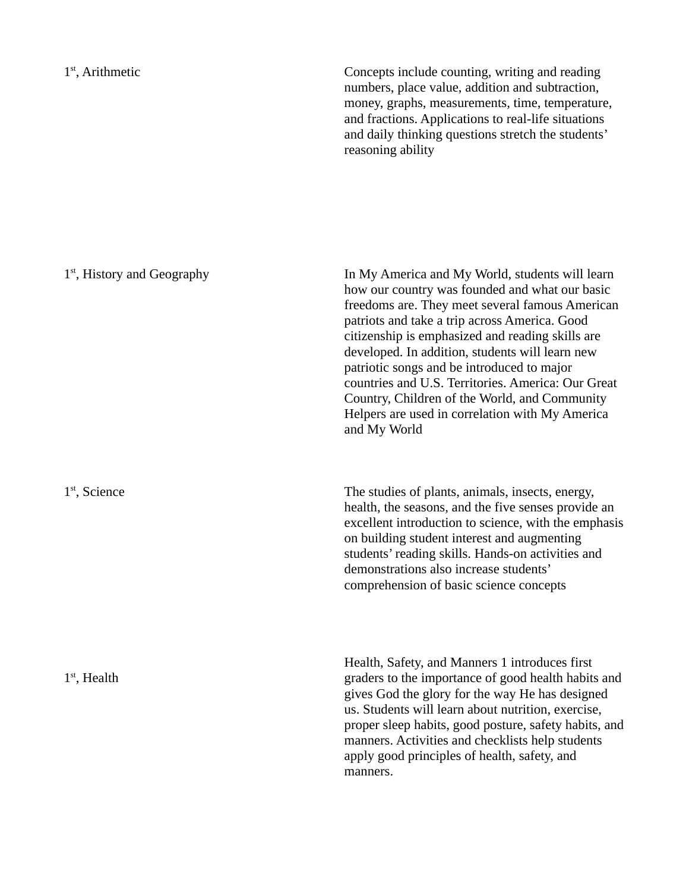1 st, Arithmetic

Concepts include counting, writing and reading numbers, place value, addition and subtraction, money, graphs, measurements, time, temperature, and fractions. Applications to real-life situations and daily thinking questions stretch the students' reasoning ability

1<sup>st</sup>, History and Geography 1<sup>st</sup>, Science 1 st, Health In My America and My World, students will learn how our country was founded and what our basic freedoms are. They meet several famous American patriots and take a trip across America. Good citizenship is emphasized and reading skills are developed. In addition, students will learn new patriotic songs and be introduced to major countries and U.S. Territories. America: Our Great Country, Children of the World, and Community Helpers are used in correlation with My America and My World The studies of plants, animals, insects, energy, health, the seasons, and the five senses provide an excellent introduction to science, with the emphasis on building student interest and augmenting students' reading skills. Hands-on activities and demonstrations also increase students' comprehension of basic science concepts Health, Safety, and Manners 1 introduces first graders to the importance of good health habits and gives God the glory for the way He has designed us. Students will learn about nutrition, exercise, proper sleep habits, good posture, safety habits, and manners. Activities and checklists help students apply good principles of health, safety, and manners.